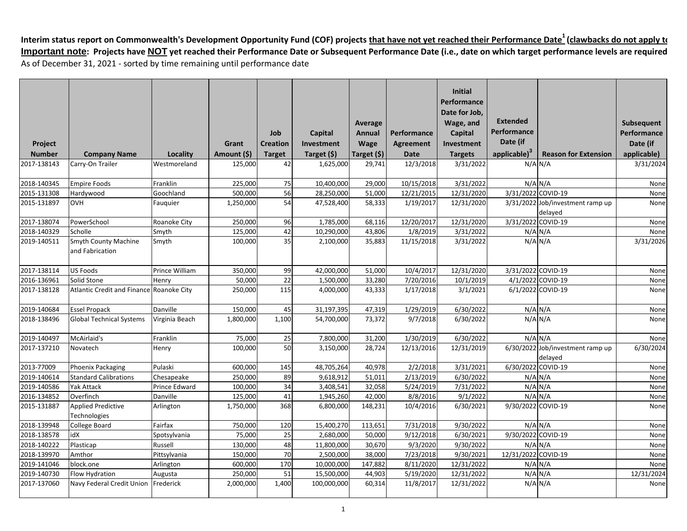|               |                                           |                |             |                 |             |             |             | <b>Initial</b><br>Performance |                          |                                             |             |
|---------------|-------------------------------------------|----------------|-------------|-----------------|-------------|-------------|-------------|-------------------------------|--------------------------|---------------------------------------------|-------------|
|               |                                           |                |             |                 |             |             |             | Date for Job.                 | <b>Extended</b>          |                                             |             |
|               |                                           |                |             |                 |             | Average     |             | Wage, and                     | Performance              |                                             | Subsequent  |
|               |                                           |                |             | Job             | Capital     | Annual      | Performance | <b>Capital</b>                | Date (if                 |                                             | Performance |
| Project       |                                           |                | Grant       | <b>Creation</b> | Investment  | <b>Wage</b> | Agreement   | Investment                    |                          |                                             | Date (if    |
| <b>Number</b> | <b>Company Name</b>                       | Locality       | Amount (\$) | <b>Target</b>   | Target (\$) | Target (\$) | <b>Date</b> | <b>Targets</b>                | applicable) <sup>3</sup> | <b>Reason for Extension</b>                 | applicable) |
| 2017-138143   | Carry-On Trailer                          | Westmoreland   | 125,000     | 42              | 1,625,000   | 29,741      | 12/3/2018   | 3/31/2022                     |                          | $N/A$ $N/A$                                 | 3/31/2024   |
| 2018-140345   | <b>Empire Foods</b>                       | Franklin       | 225,000     | 75              | 10,400,000  | 29,000      | 10/15/2018  | 3/31/2022                     |                          | $N/A$ $N/A$                                 | None        |
| 2015-131308   | Hardywood                                 | Goochland      | 500,000     | 56              | 28,250,000  | 51,000      | 12/21/2015  | 12/31/2020                    | 3/31/2022 COVID-19       |                                             | None        |
| 2015-131897   | <b>OVH</b>                                | Fauguier       | 1,250,000   | 54              | 47,528,400  | 58,333      | 1/19/2017   | 12/31/2020                    |                          | 3/31/2022 Job/investment ramp up<br>delayed | None        |
| 2017-138074   | PowerSchool                               | Roanoke City   | 250,000     | 96              | 1,785,000   | 68,116      | 12/20/2017  | 12/31/2020                    | 3/31/2022 COVID-19       |                                             | None        |
| 2018-140329   | Scholle                                   | Smyth          | 125,000     | 42              | 10,290,000  | 43,806      | 1/8/2019    | 3/31/2022                     |                          | $N/A$ $N/A$                                 | None        |
| 2019-140511   | <b>Smyth County Machine</b>               | Smyth          | 100,000     | 35              | 2,100,000   | 35,883      | 11/15/2018  | 3/31/2022                     |                          | $N/A$ $N/A$                                 | 3/31/2026   |
|               | and Fabrication                           |                |             |                 |             |             |             |                               |                          |                                             |             |
| 2017-138114   | <b>US Foods</b>                           | Prince William | 350,000     | 99              | 42,000,000  | 51,000      | 10/4/2017   | 12/31/2020                    | 3/31/2022 COVID-19       |                                             | None        |
| 2016-136961   | Solid Stone                               | Henry          | 50,000      | 22              | 1,500,000   | 33,280      | 7/20/2016   | 10/1/2019                     |                          | 4/1/2022 COVID-19                           | None        |
| 2017-138128   | Atlantic Credit and Finance Roanoke City  |                | 250,000     | 115             | 4,000,000   | 43,333      | 1/17/2018   | 3/1/2021                      |                          | 6/1/2022 COVID-19                           | None        |
| 2019-140684   | <b>Essel Propack</b>                      | Danville       | 150,000     | 45              | 31,197,395  | 47,319      | 1/29/2019   | 6/30/2022                     |                          | $\overline{N}/A$ $N/A$                      | None        |
| 2018-138496   | <b>Global Technical Systems</b>           | Virginia Beach | 1,800,000   | 1,100           | 54,700,000  | 73,372      | 9/7/2018    | 6/30/2022                     |                          | $N/A$ $N/A$                                 | None        |
| 2019-140497   | McAirlaid's                               | Franklin       | 75,000      | 25              | 7,800,000   | 31,200      | 1/30/2019   | 6/30/2022                     |                          | $N/A$ $N/A$                                 | None        |
| 2017-137210   | Novatech                                  | Henry          | 100,000     | 50              | 3,150,000   | 28,724      | 12/13/2016  | 12/31/2019                    |                          | 6/30/2022 Job/investment ramp up<br>delayed | 6/30/2024   |
| 2013-77009    | <b>Phoenix Packaging</b>                  | Pulaski        | 600,000     | 145             | 48,705,264  | 40,978      | 2/2/2018    | 3/31/2021                     | 6/30/2022 COVID-19       |                                             | None        |
| 2019-140614   | <b>Standard Calibrations</b>              | Chesapeake     | 250,000     | 89              | 9,618,912   | 51,011      | 2/13/2019   | 6/30/2022                     |                          | $N/A$ $N/A$                                 | None        |
| 2019-140586   | Yak Attack                                | Prince Edward  | 100,000     | 34              | 3,408,541   | 32,058      | 5/24/2019   | 7/31/2022                     |                          | $N/A$ $N/A$                                 | None        |
| 2016-134852   | Overfinch                                 | Danville       | 125,000     | 41              | 1,945,260   | 42,000      | 8/8/2016    | 9/1/2022                      |                          | $N/A$ $N/A$                                 | None        |
| 2015-131887   | <b>Applied Predictive</b><br>Technologies | Arlington      | 1,750,000   | 368             | 6,800,000   | 148,231     | 10/4/2016   | 6/30/2021                     | 9/30/2022 COVID-19       |                                             | None        |
| 2018-139948   | <b>College Board</b>                      | Fairfax        | 750,000     | 120             | 15,400,270  | 113,651     | 7/31/2018   | 9/30/2022                     |                          | $N/A$ $N/A$                                 | None        |
| 2018-138578   | idX                                       | Spotsylvania   | 75,000      | 25              | 2,680,000   | 50,000      | 9/12/2018   | 6/30/2021                     | 9/30/2022 COVID-19       |                                             | None        |
| 2018-140222   | Plasticap                                 | Russell        | 130,000     | 48              | 11,800,000  | 30,670      | 9/3/2020    | 9/30/2022                     |                          | $N/A$ $N/A$                                 | None        |
| 2018-139970   | Amthor                                    | Pittsylvania   | 150,000     | 70              | 2,500,000   | 38,000      | 7/23/2018   | 9/30/2021                     | 12/31/2022 COVID-19      |                                             | None        |
| 2019-141046   | block.one                                 | Arlington      | 600,000     | 170             | 10,000,000  | 147,882     | 8/11/2020   | 12/31/2022                    |                          | $N/A$ $N/A$                                 | None        |
| 2019-140730   | <b>Flow Hydration</b>                     | Augusta        | 250,000     | 51              | 15,500,000  | 44,903      | 5/19/2020   | 12/31/2022                    |                          | $N/A$ $N/A$                                 | 12/31/2024  |
| 2017-137060   | Navy Federal Credit Union                 | Frederick      | 2,000,000   | 1,400           | 100,000,000 | 60,314      | 11/8/2017   | 12/31/2022                    |                          | $N/A$ $N/A$                                 | None        |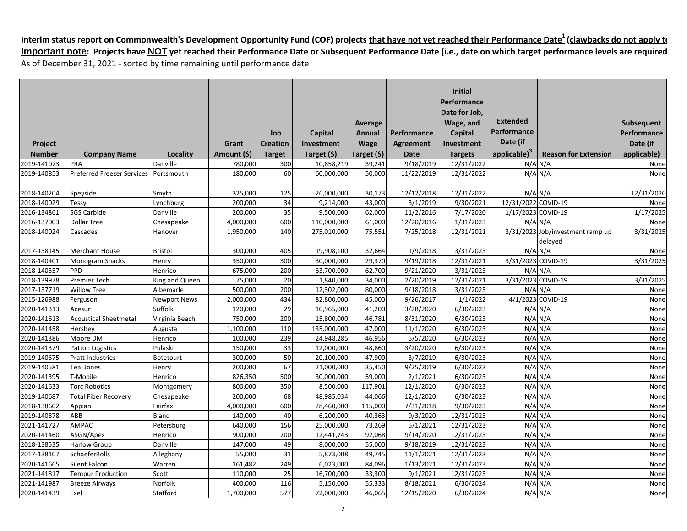|               |                                   |                     |             |                 |             |             |             | <b>Initial</b><br>Performance |                          |                                             |             |
|---------------|-----------------------------------|---------------------|-------------|-----------------|-------------|-------------|-------------|-------------------------------|--------------------------|---------------------------------------------|-------------|
|               |                                   |                     |             |                 |             |             |             | Date for Job,                 |                          |                                             |             |
|               |                                   |                     |             |                 |             | Average     |             | Wage, and                     | <b>Extended</b>          |                                             | Subsequent  |
|               |                                   |                     |             | Job             | Capital     | Annual      | Performance | Capital                       | Performance              |                                             | Performance |
| Project       |                                   |                     | Grant       | <b>Creation</b> | Investment  | Wage        | Agreement   | Investment                    | Date (if                 |                                             | Date (if    |
| <b>Number</b> | <b>Company Name</b>               | Locality            | Amount (\$) | <b>Target</b>   | Target (\$) | Target (\$) | Date        | <b>Targets</b>                | applicable) <sup>3</sup> | <b>Reason for Extension</b>                 | applicable) |
| 2019-141073   | PRA                               | Danville            | 780,000     | 300             | 10,858,219  | 39,241      | 9/18/2019   | 12/31/2022                    |                          | $N/A$ $N/A$                                 | None        |
| 2019-140853   | <b>Preferred Freezer Services</b> | Portsmouth          | 180,000     | 60              | 60,000,000  | 50,000      | 11/22/2019  | 12/31/2022                    |                          | $N/A$ $N/A$                                 | None        |
| 2018-140204   | Speyside                          | Smyth               | 325,000     | 125             | 26,000,000  | 30,173      | 12/12/2018  | 12/31/2022                    |                          | $N/A$ $N/A$                                 | 12/31/2026  |
| 2018-140029   | Tessy                             | Lynchburg           | 200,000     | 34              | 9,214,000   | 43,000      | 3/1/2019    | 9/30/2021                     | 12/31/2022 COVID-19      |                                             | None        |
| 2016-134861   | <b>SGS Carbide</b>                | Danville            | 200,000     | 35              | 9,500,000   | 62,000      | 11/2/2016   | 7/17/2020                     | 1/17/2023 COVID-19       |                                             | 1/17/2025   |
| 2016-137003   | <b>Dollar Tree</b>                | Chesapeake          | 4,000,000   | 600             | 110,000,000 | 61,000      | 12/20/2016  | 1/31/2023                     |                          | $N/A$ $N/A$                                 | None        |
| 2018-140024   | Cascades                          | Hanover             | 1,950,000   | 140             | 275,010,000 | 75,551      | 7/25/2018   | 12/31/2021                    |                          | 3/31/2023 Job/investment ramp up<br>delayed | 3/31/2025   |
| 2017-138145   | <b>Merchant House</b>             | <b>Bristol</b>      | 300,000     | 405             | 19,908,100  | 32,664      | 1/9/2018    | 3/31/2023                     |                          | $N/A$ $N/A$                                 | None        |
| 2018-140401   | Monogram Snacks                   | Henry               | 350,000     | 300             | 30,000,000  | 29,370      | 9/19/2018   | 12/31/2021                    | 3/31/2023 COVID-19       |                                             | 3/31/2025   |
| 2018-140357   | PPD                               | Henrico             | 675,000     | 200             | 63,700,000  | 62,700      | 9/21/2020   | 3/31/2023                     |                          | $N/A$ $N/A$                                 |             |
| 2018-139978   | Premier Tech                      | King and Queen      | 75,000      | 20              | 1,840,000   | 34,000      | 2/20/2019   | 12/31/2021                    | 3/31/2023 COVID-19       |                                             | 3/31/2025   |
| 2017-137719   | <b>Willow Tree</b>                | Albemarle           | 500,000     | 200             | 12,302,000  | 80,000      | 9/18/2018   | 3/31/2023                     |                          | $N/A$ $N/A$                                 | None        |
| 2015-126988   | Ferguson                          | <b>Newport News</b> | 2,000,000   | 434             | 82,800,000  | 45,000      | 9/26/2017   | 1/1/2022                      |                          | 4/1/2023 COVID-19                           | None        |
| 2020-141313   | Acesur                            | Suffolk             | 120,000     | 29              | 10,965,000  | 41,200      | 3/28/2020   | 6/30/2023                     |                          | $N/A$ $N/A$                                 | None        |
| 2020-141613   | <b>Acoustical Sheetmetal</b>      | Virginia Beach      | 750,000     | 200             | 15,800,000  | 46,781      | 8/31/2020   | 6/30/2023                     |                          | $N/A$ $N/A$                                 | None        |
| 2020-141458   | Hershey                           | Augusta             | 1,100,000   | 110             | 135,000,000 | 47,000      | 11/1/2020   | 6/30/2023                     |                          | $N/A$ $N/A$                                 | None        |
| 2020-141386   | Moore DM                          | Henrico             | 100,000     | 239             | 24,948,285  | 46,956      | 5/5/2020    | 6/30/2023                     |                          | $N/A$ $N/A$                                 | None        |
| 2020-141379   | <b>Patton Logistics</b>           | Pulaski             | 150,000     | 33              | 12,000,000  | 48,860      | 3/20/2020   | 6/30/2023                     |                          | $N/A$ $N/A$                                 | None        |
| 2019-140675   | <b>Pratt Industries</b>           | Botetourt           | 300,000     | 50              | 20,100,000  | 47,900      | 3/7/2019    | 6/30/2023                     |                          | $N/A$ $N/A$                                 | None        |
| 2019-140581   | Teal Jones                        | Henry               | 200,000     | 67              | 21,000,000  | 35,450      | 9/25/2019   | 6/30/2023                     |                          | $N/A$ $N/A$                                 | None        |
| 2020-141395   | T-Mobile                          | Henrico             | 826,350     | 500             | 30,000,000  | 59,000      | 2/1/2021    | 6/30/2023                     |                          | $N/A$ $N/A$                                 | None        |
| 2020-141633   | <b>Torc Robotics</b>              | Montgomery          | 800,000     | 350             | 8,500,000   | 117,901     | 12/1/2020   | 6/30/2023                     |                          | $N/A$ $N/A$                                 | None        |
| 2019-140687   | <b>Total Fiber Recovery</b>       | Chesapeake          | 200,000     | 68              | 48,985,034  | 44,066      | 12/1/2020   | 6/30/2023                     |                          | $N/A$ $N/A$                                 | None        |
| 2018-138602   | Appian                            | Fairfax             | 4,000,000   | 600             | 28,460,000  | 115,000     | 7/31/2018   | 9/30/2023                     |                          | $N/A$ $N/A$                                 | None        |
| 2019-140878   | ABB                               | Bland               | 140,000     | 40              | 6,200,000   | 40,363      | 9/3/2020    | 12/31/2023                    |                          | $N/A$ $N/A$                                 | None        |
| 2021-141727   | AMPAC                             | Petersburg          | 640,000     | 156             | 25,000,000  | 73,269      | 5/1/2021    | 12/31/2023                    |                          | $N/A$ $N/A$                                 | None        |
| 2020-141460   | ASGN/Apex                         | Henrico             | 900,000     | 700             | 12,441,743  | 92,068      | 9/14/2020   | 12/31/2023                    |                          | $N/A$ $N/A$                                 | None        |
| 2018-138535   | <b>Harlow Group</b>               | Danville            | 147,000     | 49              | 8,000,000   | 55,000      | 9/18/2019   | 12/31/2023                    |                          | $N/A$ $N/A$                                 | None        |
| 2017-138107   | SchaeferRolls                     | Alleghany           | 55,000      | 31              | 5,873,008   | 49,745      | 11/1/2021   | 12/31/2023                    |                          | $N/A$ $N/A$                                 | None        |
| 2020-141665   | Silent Falcon                     | Warren              | 161,482     | 249             | 6,023,000   | 84,096      | 1/13/2021   | 12/31/2023                    |                          | $N/A$ $N/A$                                 | None        |
| 2021-141817   | <b>Tempur Production</b>          | Scott               | 110,000     | 25              | 16,700,000  | 33,300      | 9/1/2021    | 12/31/2023                    |                          | $N/A$ $N/A$                                 | None        |
| 2021-141987   | <b>Breeze Airways</b>             | Norfolk             | 400,000     | 116             | 5,150,000   | 55,333      | 8/18/2021   | 6/30/2024                     |                          | $N/A$ $N/A$                                 | None        |
| 2020-141439   | Exel                              | Stafford            | 1,700,000   | 577             | 72,000,000  | 46,065      | 12/15/2020  | 6/30/2024                     |                          | $N/A$ $N/A$                                 | None        |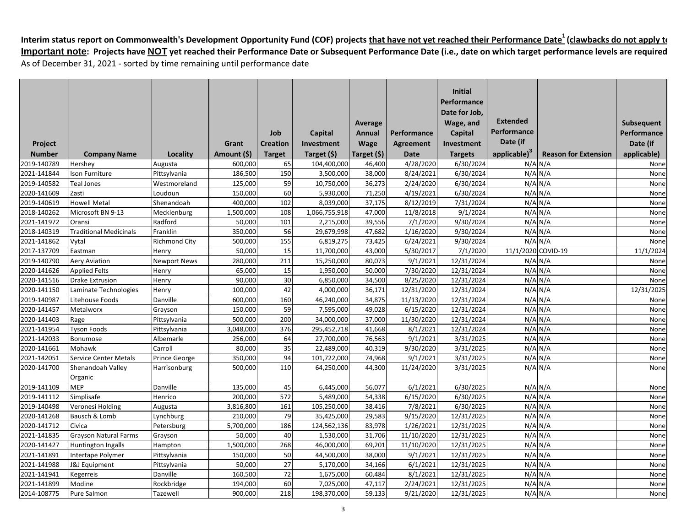|                            |                               |                         |                    |                 |                         |                  |                        | <b>Initial</b><br>Performance       |                          |                             |              |
|----------------------------|-------------------------------|-------------------------|--------------------|-----------------|-------------------------|------------------|------------------------|-------------------------------------|--------------------------|-----------------------------|--------------|
|                            |                               |                         |                    |                 |                         |                  |                        | Date for Job,                       | Extended                 |                             |              |
|                            |                               |                         |                    |                 |                         | Average          |                        | Wage, and                           | Performance              |                             | Subsequent   |
|                            |                               |                         |                    | Job             | Capital                 | Annual           | Performance            | Capital                             |                          |                             | Performance  |
| Project                    |                               |                         | Grant              | <b>Creation</b> | Investment              | Wage             | <b>Agreement</b>       | Investment                          | Date (if                 |                             | Date (if     |
| <b>Number</b>              | <b>Company Name</b>           | Locality                | Amount (\$)        | <b>Target</b>   | Target (\$)             | Target (\$)      | Date                   | <b>Targets</b>                      | applicable) <sup>3</sup> | <b>Reason for Extension</b> | applicable)  |
| 2019-140789                | Hershey                       | Augusta                 | 600,000            | 65              | 104,400,000             | 46,400           | 4/28/2020              | 6/30/2024<br>$\frac{1}{6}$ /30/2024 |                          | $N/A$ $N/A$<br>$N/A$ $N/A$  | None         |
| 2021-141844                | Ison Furniture                | Pittsylvania            | 186,500            | 150<br>59       | 3,500,000               | 38,000           | 8/24/2021              |                                     |                          | $N/A$ $N/A$                 | None         |
| 2019-140582<br>2020-141609 | <b>Teal Jones</b><br>Zasti    | Westmoreland<br>Loudoun | 125,000<br>150,000 | 60              | 10,750,000<br>5,930,000 | 36,273<br>71,250 | 2/24/2020<br>4/19/2021 | 6/30/2024<br>6/30/2024              |                          | $N/A$ $N/A$                 | None<br>None |
| 2019-140619                | <b>Howell Metal</b>           | Shenandoah              | 400,000            | 102             | 8,039,000               | 37,175           | 8/12/2019              | 7/31/2024                           |                          | $N/A$ $N/A$                 | None         |
| 2018-140262                | Microsoft BN 9-13             | Mecklenburg             | 1,500,000          | 108             | 1,066,755,918           | 47,000           | 11/8/2018              | 9/1/2024                            |                          | $N/A$ $N/A$                 | None         |
| 2021-141972                | Oransi                        | Radford                 | 50,000             | 101             | 2,215,000               | 39,556           | 7/1/2020               | 9/30/2024                           |                          | $N/A$ $N/A$                 | None         |
| 2018-140319                | <b>Traditional Medicinals</b> | Franklin                | 350,000            | 56              | 29,679,998              | 47,682           | 1/16/2020              | 9/30/2024                           |                          | $N/A$ $N/A$                 | None         |
| 2021-141862                | Vytal                         | <b>Richmond City</b>    | 500,000            | 155             | 6,819,275               | 73,425           | 6/24/2021              | 9/30/2024                           |                          | $N/A$ $N/A$                 | None         |
| 2017-137709                | Eastman                       | Henry                   | 50,000             | 15              | 11,700,000              | 43,000           | 5/30/2017              | 7/1/2020                            | 11/1/2020 COVID-19       |                             | 11/1/2024    |
| 2019-140790                | <b>Aery Aviation</b>          | Newport News            | 280,000            | 211             | 15,250,000              | 80,073           | 9/1/2021               | 12/31/2024                          |                          | $N/A$ $N/A$                 | None         |
| 2020-141626                | <b>Applied Felts</b>          | Henry                   | 65,000             | 15              | 1,950,000               | 50,000           | 7/30/2020              | 12/31/2024                          |                          | $N/A$ $N/A$                 | None         |
| 2020-141516                | <b>Drake Extrusion</b>        | Henry                   | 90,000             | 30              | 6,850,000               | 34,500           | 8/25/2020              | 12/31/2024                          |                          | $N/A$ $N/A$                 | None         |
| 2020-141150                | Laminate Technologies         | Henry                   | 100,000            | 42              | 4,000,000               | 36,171           | 12/31/2020             | 12/31/2024                          |                          | $N/A$ $N/A$                 | 12/31/2025   |
| 2019-140987                | Litehouse Foods               | Danville                | 600,000            | 160             | 46,240,000              | 34,875           | 11/13/2020             | 12/31/2024                          |                          | $N/A$ $N/A$                 | None         |
| 2020-141457                | <b>Metalworx</b>              | Grayson                 | 150,000            | 59              | 7,595,000               | 49,028           | 6/15/2020              | 12/31/2024                          |                          | $N/A$ $N/A$                 | None         |
| 2020-141403                | Rage                          | Pittsylvania            | 500,000            | 200             | 34,000,000              | 37,000           | 11/30/2020             | 12/31/2024                          |                          | $N/A$ $N/A$                 | None         |
| 2021-141954                | <b>Tyson Foods</b>            | Pittsylvania            | 3,048,000          | 376             | 295,452,718             | 41,668           | 8/1/2021               | 12/31/2024                          |                          | $N/A$ $N/A$                 | None         |
| 2021-142033                | Bonumose                      | Albemarle               | 256,000            | 64              | 27,700,000              | 76,563           | 9/1/2021               | 3/31/2025                           |                          | $N/A$ $N/A$                 | None         |
| 2020-141661                | Mohawk                        | Carroll                 | 80,000             | 35              | 22,489,000              | 40,319           | 9/30/2020              | 3/31/2025                           |                          | $N/A$ $N/A$                 | None         |
| 2021-142051                | Service Center Metals         | Prince George           | 350,000            | 94              | 101,722,000             | 74,968           | 9/1/2021               | 3/31/2025                           |                          | $N/A$ $N/A$                 | None         |
| 2020-141700                | Shenandoah Valley             | Harrisonburg            | 500,000            | 110             | 64,250,000              | 44,300           | 11/24/2020             | 3/31/2025                           |                          | $N/A$ $N/A$                 | None         |
|                            | Organic                       |                         |                    |                 |                         |                  |                        |                                     |                          |                             |              |
| 2019-141109                | <b>MEP</b>                    | Danville                | 135,000            | 45              | 6,445,000               | 56,077           | 6/1/2021               | 6/30/2025                           |                          | $N/A$ $N/A$                 | None         |
| 2019-141112                | Simplisafe                    | Henrico                 | 200,000            | 572             | 5,489,000               | 54,338           | 6/15/2020              | 6/30/2025                           |                          | $N/A$ $N/A$                 | None         |
| 2019-140498                | Veronesi Holding              | Augusta                 | 3,816,800          | 161             | 105,250,000             | 38,416           | 7/8/2021               | 6/30/2025                           |                          | $N/A$ $N/A$                 | None         |
| 2020-141268                | Bausch & Lomb                 | Lynchburg               | 210,000            | 79              | 35,425,000              | 29,583           | 9/15/2020              | 12/31/2025                          |                          | $N/A$ $N/A$                 | None         |
| 2020-141712                | Civica                        | Petersburg              | 5,700,000          | 186             | 124,562,136             | 83,978           | 1/26/2021              | 12/31/2025                          |                          | $N/A$ $N/A$                 | None         |
| 2021-141835                | <b>Grayson Natural Farms</b>  | Grayson                 | 50,000             | 40              | 1,530,000               | 31,706           | 11/10/2020             | 12/31/2025                          |                          | $N/A$ $N/A$                 | None         |
| 2020-141427                | Huntington Ingalls            | Hampton                 | 1,500,000          | 268             | 46,000,000              | 69,201           | 11/10/2020             | 12/31/2025                          |                          | $N/A$ $N/A$                 | None         |
| 2021-141891                | Intertape Polymer             | Pittsylvania            | 150,000            | 50              | 44,500,000              | 38,000           | 9/1/2021               | 12/31/2025                          |                          | $N/A$ $N/A$                 | None         |
| 2021-141988                | <b>J&amp;J</b> Equipment      | Pittsylvania            | 50,000             | 27              | 5,170,000               | 34,166           | 6/1/2021               | 12/31/2025                          |                          | $N/A$ $N/A$                 | None         |
| 2021-141941                | Kegerreis                     | Danville                | 160,500            | 72              | 1,675,000               | 60,484           | 8/1/2021               | 12/31/2025                          |                          | $N/A$ $N/A$                 | None         |
| 2021-141899                | Modine                        | Rockbridge              | 194,000            | 60              | 7,025,000               | 47,117           | 2/24/2021              | 12/31/2025                          |                          | $N/A$ $N/A$                 | None         |
| 2014-108775                | Pure Salmon                   | Tazewell                | 900,000            | 218             | 198,370,000             | 59,133           | 9/21/2020              | 12/31/2025                          |                          | $N/A$ $N/A$                 | None         |